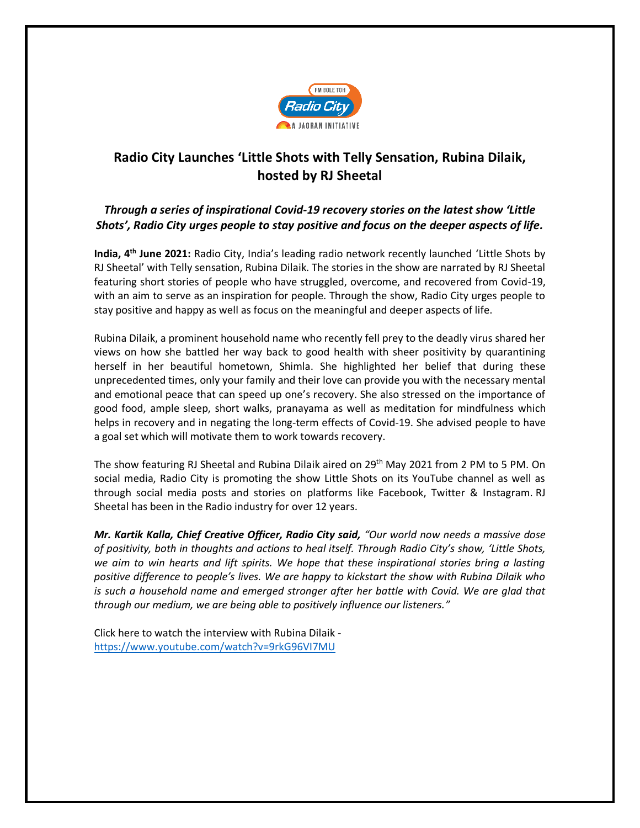

## **Radio City Launches 'Little Shots with Telly Sensation, Rubina Dilaik, hosted by RJ Sheetal**

## *Through a series of inspirational Covid-19 recovery stories on the latest show 'Little Shots', Radio City urges people to stay positive and focus on the deeper aspects of life.*

**India, 4 th June 2021:** Radio City, India's leading radio network recently launched 'Little Shots by RJ Sheetal' with Telly sensation, Rubina Dilaik. The stories in the show are narrated by RJ Sheetal featuring short stories of people who have struggled, overcome, and recovered from Covid-19, with an aim to serve as an inspiration for people. Through the show, Radio City urges people to stay positive and happy as well as focus on the meaningful and deeper aspects of life.

Rubina Dilaik, a prominent household name who recently fell prey to the deadly virus shared her views on how she battled her way back to good health with sheer positivity by quarantining herself in her beautiful hometown, Shimla. She highlighted her belief that during these unprecedented times, only your family and their love can provide you with the necessary mental and emotional peace that can speed up one's recovery. She also stressed on the importance of good food, ample sleep, short walks, pranayama as well as meditation for mindfulness which helps in recovery and in negating the long-term effects of Covid-19. She advised people to have a goal set which will motivate them to work towards recovery.

The show featuring RJ Sheetal and Rubina Dilaik aired on 29<sup>th</sup> May 2021 from 2 PM to 5 PM. On social media, Radio City is promoting the show Little Shots on its YouTube channel as well as through social media posts and stories on platforms like Facebook, Twitter & Instagram. RJ Sheetal has been in the Radio industry for over 12 years.

*Mr. Kartik Kalla, Chief Creative Officer, Radio City said, "Our world now needs a massive dose of positivity, both in thoughts and actions to heal itself. Through Radio City's show, 'Little Shots, we aim to win hearts and lift spirits. We hope that these inspirational stories bring a lasting positive difference to people's lives. We are happy to kickstart the show with Rubina Dilaik who is such a household name and emerged stronger after her battle with Covid. We are glad that through our medium, we are being able to positively influence our listeners."*

Click here to watch the interview with Rubina Dilaik <https://www.youtube.com/watch?v=9rkG96VI7MU>